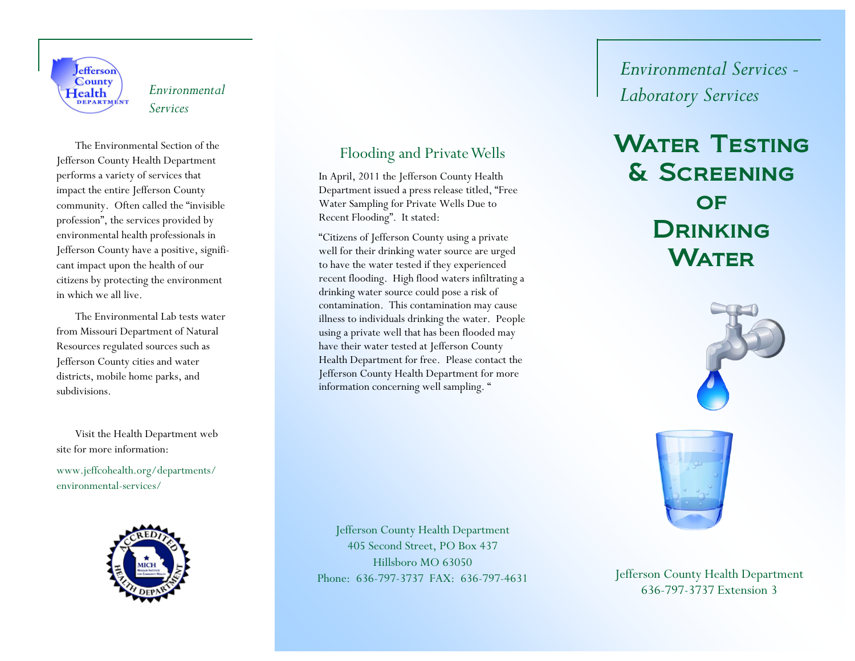

 The Environmental Section of the Jefferson County Health Department performs a variety of services that impact the entire Jefferson County community. Often called the "invisible profession", the services provided by environmental health professionals in Jefferson County have a positive, significant impact upon the health of our citizens by protecting the environment in which we all live.

 The Environmental Lab tests water from Missouri Department of Natural Resources regulated sources such as Jefferson County cities and water districts, mobile home parks, and subdivisions.

 Visit the Health Department web site for more information:

www.jeffcohealth.org/departments/ environmental-services/



### Flooding and Private Wells

In April, 2011 the Jefferson County Health Department issued a press release titled, "Free Water Sampling for Private Wells Due to Recent Flooding". It stated:

"Citizens of Jefferson County using a private well for their drinking water source are urged to have the water tested if they experienced recent flooding. High flood waters infiltrating a drinking water source could pose a risk of contamination. This contamination may cause illness to individuals drinking the water. People using a private well that has been flooded may have their water tested at Jefferson County Health Department for free. Please contact the Jefferson County Health Department for more information concerning well sampling. "

# *Environmental Services - Laboratory Services Environmental Services*

# WATER TESTING & Screening **OF DRINKING WATER**





636-797-3737 Extension 3

Jefferson County Health Department 405 Second Street, PO Box 437 Hillsboro MO 63050 Phone: 636-797-3737 FAX: 636-797-4631 Jefferson County Health Department